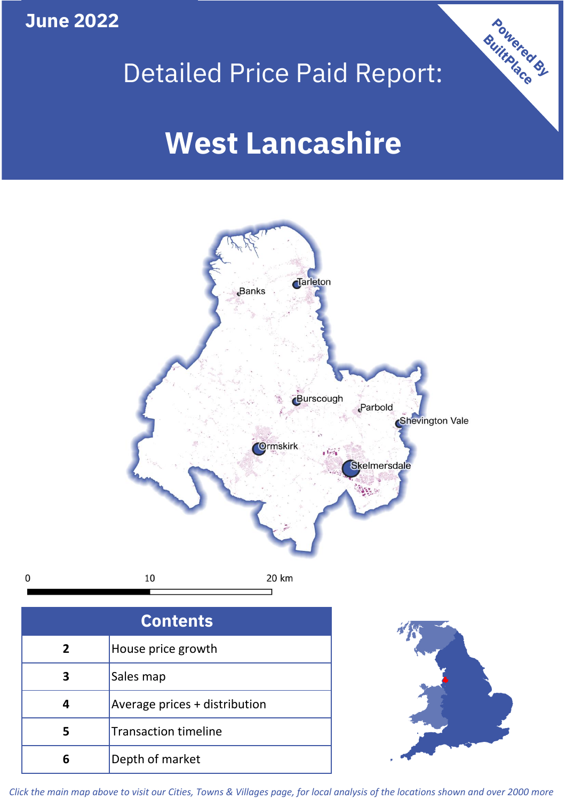**June 2022**

 $\mathbf 0$ 





| <b>Contents</b> |                               |  |  |
|-----------------|-------------------------------|--|--|
| $\overline{2}$  | House price growth            |  |  |
| 3               | Sales map                     |  |  |
|                 | Average prices + distribution |  |  |
| 5               | <b>Transaction timeline</b>   |  |  |
|                 | Depth of market               |  |  |



*Click the main map above to visit our Cities, Towns & Villages page, for local analysis of the locations shown and over 2000 more*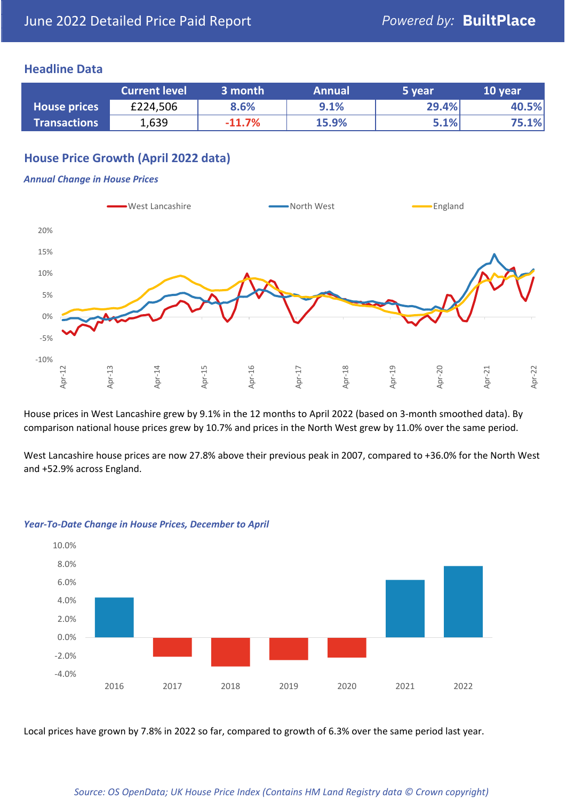#### **Headline Data**

|                     | <b>Current level</b> | 3 month  | <b>Annual</b> | 5 year | 10 year |
|---------------------|----------------------|----------|---------------|--------|---------|
| <b>House prices</b> | £224,506             | 8.6%     | 9.1%          | 29.4%  | 40.5%   |
| <b>Transactions</b> | 1,639                | $-11.7%$ | 15.9%         | 5.1%   | 75.1%   |

# **House Price Growth (April 2022 data)**

#### *Annual Change in House Prices*



House prices in West Lancashire grew by 9.1% in the 12 months to April 2022 (based on 3-month smoothed data). By comparison national house prices grew by 10.7% and prices in the North West grew by 11.0% over the same period.

West Lancashire house prices are now 27.8% above their previous peak in 2007, compared to +36.0% for the North West and +52.9% across England.



#### *Year-To-Date Change in House Prices, December to April*

Local prices have grown by 7.8% in 2022 so far, compared to growth of 6.3% over the same period last year.

#### *Source: OS OpenData; UK House Price Index (Contains HM Land Registry data © Crown copyright)*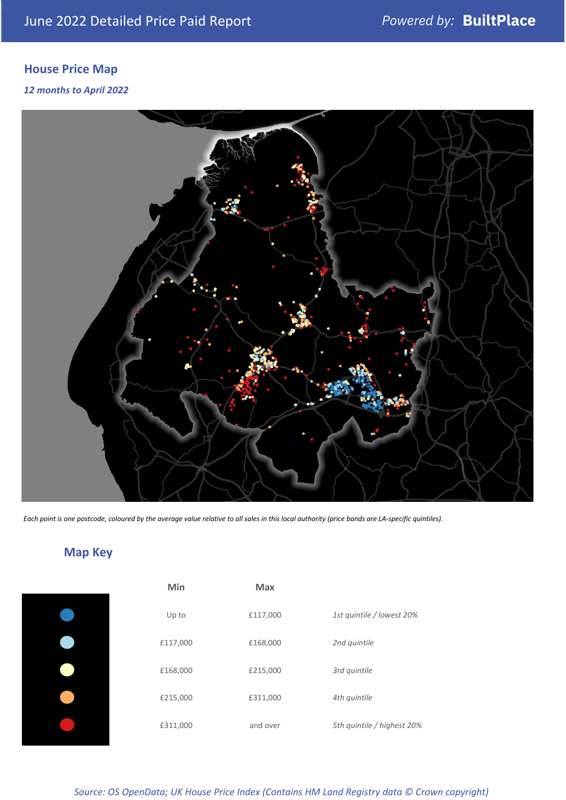# **House Price Map**

#### *12 months to April 2022*



*Each point is one postcode, coloured by the average value relative to all sales in this local authority (price bands are LA-specific quintiles).*

# **Map Key**

| Min      | <b>Max</b> |                            |
|----------|------------|----------------------------|
| Up to    | £117,000   | 1st quintile / lowest 20%  |
| £117,000 | £168,000   | 2nd quintile               |
| £168,000 | £215,000   | 3rd quintile               |
| £215,000 | £311,000   | 4th quintile               |
| £311,000 | and over   | 5th quintile / highest 20% |

## *Source: OS OpenData; UK House Price Index (Contains HM Land Registry data © Crown copyright)*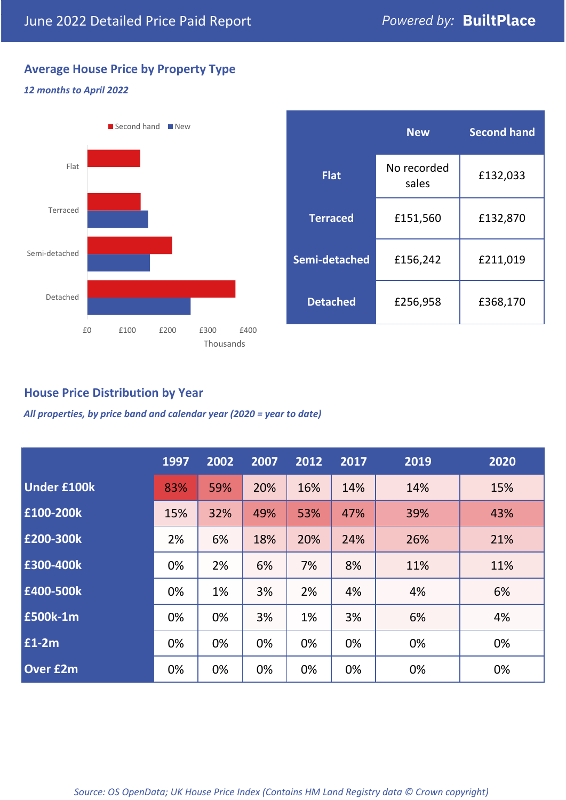# **Average House Price by Property Type**

#### *12 months to April 2022*



|                 | <b>New</b>           | <b>Second hand</b> |  |
|-----------------|----------------------|--------------------|--|
| <b>Flat</b>     | No recorded<br>sales | £132,033           |  |
| <b>Terraced</b> | £151,560             | £132,870           |  |
| Semi-detached   | £156,242             | £211,019           |  |
| <b>Detached</b> | £256,958             | £368,170           |  |

# **House Price Distribution by Year**

*All properties, by price band and calendar year (2020 = year to date)*

|                    | 1997 | 2002 | 2007 | 2012 | 2017 | 2019 | 2020 |
|--------------------|------|------|------|------|------|------|------|
| <b>Under £100k</b> | 83%  | 59%  | 20%  | 16%  | 14%  | 14%  | 15%  |
| £100-200k          | 15%  | 32%  | 49%  | 53%  | 47%  | 39%  | 43%  |
| £200-300k          | 2%   | 6%   | 18%  | 20%  | 24%  | 26%  | 21%  |
| £300-400k          | 0%   | 2%   | 6%   | 7%   | 8%   | 11%  | 11%  |
| £400-500k          | 0%   | 1%   | 3%   | 2%   | 4%   | 4%   | 6%   |
| <b>£500k-1m</b>    | 0%   | 0%   | 3%   | 1%   | 3%   | 6%   | 4%   |
| £1-2m              | 0%   | 0%   | 0%   | 0%   | 0%   | 0%   | 0%   |
| <b>Over £2m</b>    | 0%   | 0%   | 0%   | 0%   | 0%   | 0%   | 0%   |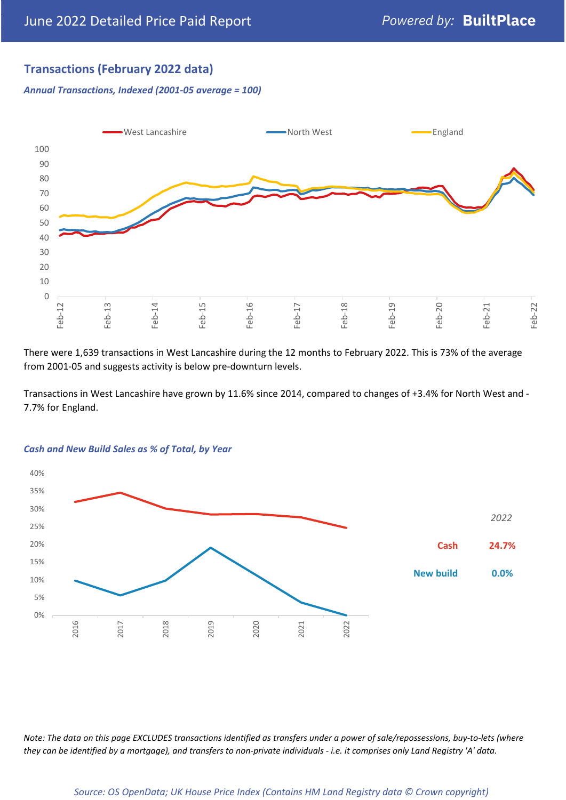# **Transactions (February 2022 data)**

*Annual Transactions, Indexed (2001-05 average = 100)*



There were 1,639 transactions in West Lancashire during the 12 months to February 2022. This is 73% of the average from 2001-05 and suggests activity is below pre-downturn levels.

Transactions in West Lancashire have grown by 11.6% since 2014, compared to changes of +3.4% for North West and - 7.7% for England.



#### *Cash and New Build Sales as % of Total, by Year*

*Note: The data on this page EXCLUDES transactions identified as transfers under a power of sale/repossessions, buy-to-lets (where they can be identified by a mortgage), and transfers to non-private individuals - i.e. it comprises only Land Registry 'A' data.*